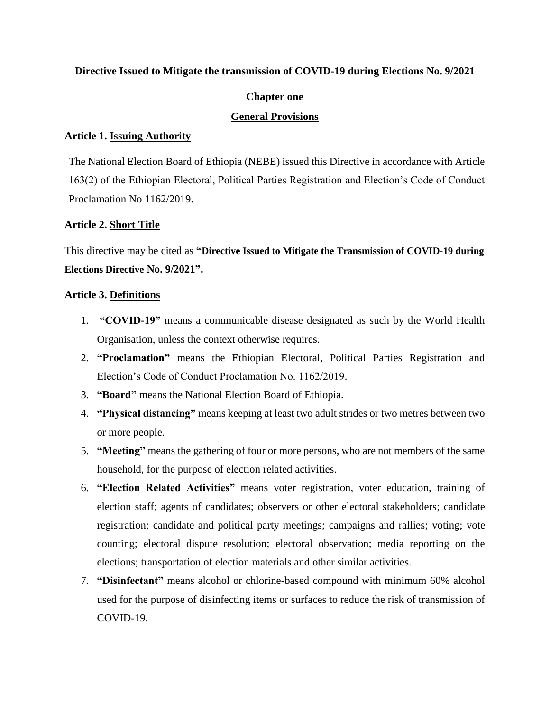#### **Directive Issued to Mitigate the transmission of COVID-19 during Elections No. 9/2021**

# **Chapter one**

# **General Provisions**

# **Article 1. Issuing Authority**

The National Election Board of Ethiopia (NEBE) issued this Directive in accordance with Article 163(2) of the Ethiopian Electoral, Political Parties Registration and Election's Code of Conduct Proclamation No 1162/2019.

# **Article 2. Short Title**

This directive may be cited as **"Directive Issued to Mitigate the Transmission of COVID-19 during Elections Directive No. 9/2021".**

#### **Article 3. Definitions**

- 1. **"COVID-19"** means a communicable disease designated as such by the World Health Organisation, unless the context otherwise requires.
- 2. **"Proclamation"** means the Ethiopian Electoral, Political Parties Registration and Election's Code of Conduct Proclamation No. 1162/2019.
- 3. **"Board"** means the National Election Board of Ethiopia.
- 4. **"Physical distancing"** means keeping at least two adult strides or two metres between two or more people.
- 5. **"Meeting"** means the gathering of four or more persons, who are not members of the same household, for the purpose of election related activities.
- 6. **"Election Related Activities"** means voter registration, voter education, training of election staff; agents of candidates; observers or other electoral stakeholders; candidate registration; candidate and political party meetings; campaigns and rallies; voting; vote counting; electoral dispute resolution; electoral observation; media reporting on the elections; transportation of election materials and other similar activities.
- 7. **"Disinfectant"** means alcohol or chlorine-based compound with minimum 60% alcohol used for the purpose of disinfecting items or surfaces to reduce the risk of transmission of COVID-19.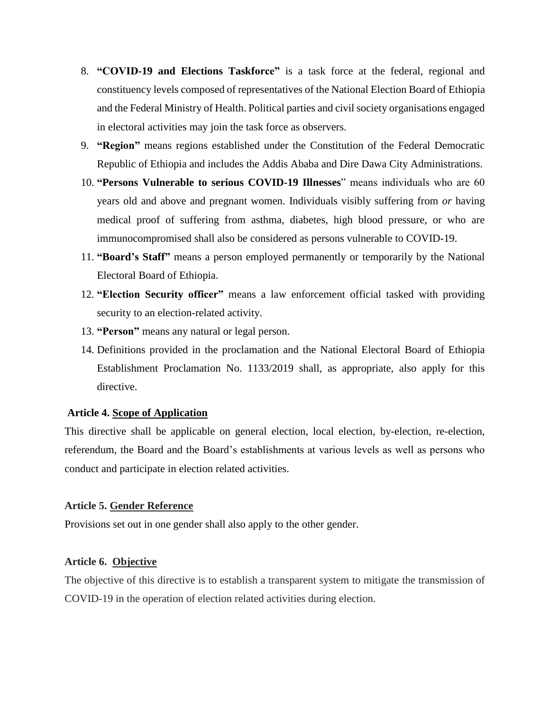- 8. **"COVID-19 and Elections Taskforce"** is a task force at the federal, regional and constituency levels composed of representatives of the National Election Board of Ethiopia and the Federal Ministry of Health. Political parties and civil society organisations engaged in electoral activities may join the task force as observers.
- 9. **"Region"** means regions established under the Constitution of the Federal Democratic Republic of Ethiopia and includes the Addis Ababa and Dire Dawa City Administrations.
- 10. **"Persons Vulnerable to serious COVID-19 Illnesses**" means individuals who are 60 years old and above and pregnant women. Individuals visibly suffering from *or* having medical proof of suffering from asthma, diabetes, high blood pressure, or who are immunocompromised shall also be considered as persons vulnerable to COVID-19.
- 11. **"Board's Staff"** means a person employed permanently or temporarily by the National Electoral Board of Ethiopia.
- 12. **"Election Security officer"** means a law enforcement official tasked with providing security to an election-related activity.
- 13. **"Person"** means any natural or legal person.
- 14. Definitions provided in the proclamation and the National Electoral Board of Ethiopia Establishment Proclamation No. 1133/2019 shall, as appropriate, also apply for this directive.

#### **Article 4. Scope of Application**

This directive shall be applicable on general election, local election, by-election, re-election, referendum, the Board and the Board's establishments at various levels as well as persons who conduct and participate in election related activities.

#### **Article 5. Gender Reference**

Provisions set out in one gender shall also apply to the other gender.

#### **Article 6. Objective**

The objective of this directive is to establish a transparent system to mitigate the transmission of COVID-19 in the operation of election related activities during election.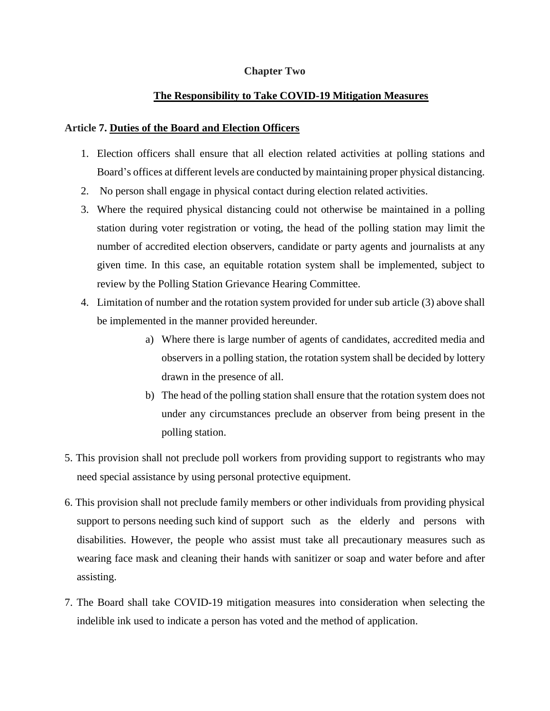# **Chapter Two**

# **The Responsibility to Take COVID-19 Mitigation Measures**

#### **Article 7. Duties of the Board and Election Officers**

- 1. Election officers shall ensure that all election related activities at polling stations and Board's offices at different levels are conducted by maintaining proper physical distancing.
- 2. No person shall engage in physical contact during election related activities.
- 3. Where the required physical distancing could not otherwise be maintained in a polling station during voter registration or voting, the head of the polling station may limit the number of accredited election observers, candidate or party agents and journalists at any given time. In this case, an equitable rotation system shall be implemented, subject to review by the Polling Station Grievance Hearing Committee.
- 4. Limitation of number and the rotation system provided for under sub article (3) above shall be implemented in the manner provided hereunder.
	- a) Where there is large number of agents of candidates, accredited media and observers in a polling station, the rotation system shall be decided by lottery drawn in the presence of all.
	- b) The head of the polling station shall ensure that the rotation system does not under any circumstances preclude an observer from being present in the polling station.
- 5. This provision shall not preclude poll workers from providing support to registrants who may need special assistance by using personal protective equipment.
- 6. This provision shall not preclude family members or other individuals from providing physical support to persons needing such kind of support such as the elderly and persons with disabilities. However, the people who assist must take all precautionary measures such as wearing face mask and cleaning their hands with sanitizer or soap and water before and after assisting.
- 7. The Board shall take COVID-19 mitigation measures into consideration when selecting the indelible ink used to indicate a person has voted and the method of application.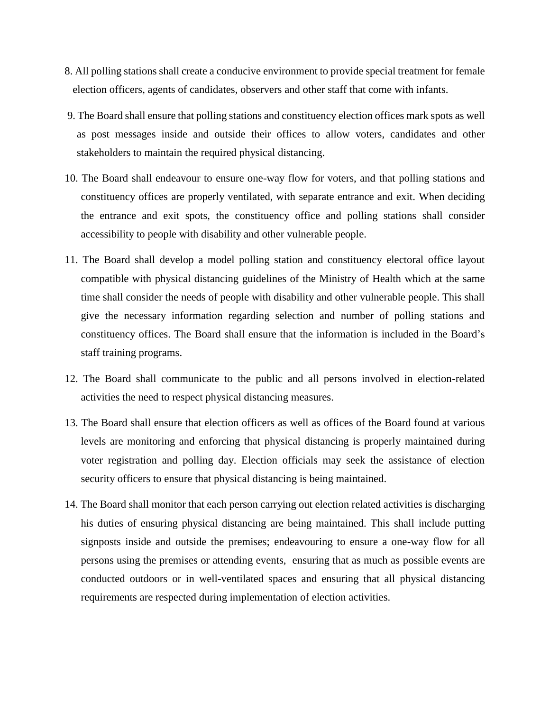- 8. All polling stations shall create a conducive environment to provide special treatment for female election officers, agents of candidates, observers and other staff that come with infants.
- 9. The Board shall ensure that polling stations and constituency election offices mark spots as well as post messages inside and outside their offices to allow voters, candidates and other stakeholders to maintain the required physical distancing.
- 10. The Board shall endeavour to ensure one-way flow for voters, and that polling stations and constituency offices are properly ventilated, with separate entrance and exit. When deciding the entrance and exit spots, the constituency office and polling stations shall consider accessibility to people with disability and other vulnerable people.
- 11. The Board shall develop a model polling station and constituency electoral office layout compatible with physical distancing guidelines of the Ministry of Health which at the same time shall consider the needs of people with disability and other vulnerable people. This shall give the necessary information regarding selection and number of polling stations and constituency offices. The Board shall ensure that the information is included in the Board's staff training programs.
- 12. The Board shall communicate to the public and all persons involved in election-related activities the need to respect physical distancing measures.
- 13. The Board shall ensure that election officers as well as offices of the Board found at various levels are monitoring and enforcing that physical distancing is properly maintained during voter registration and polling day. Election officials may seek the assistance of election security officers to ensure that physical distancing is being maintained.
- 14. The Board shall monitor that each person carrying out election related activities is discharging his duties of ensuring physical distancing are being maintained. This shall include putting signposts inside and outside the premises; endeavouring to ensure a one-way flow for all persons using the premises or attending events, ensuring that as much as possible events are conducted outdoors or in well-ventilated spaces and ensuring that all physical distancing requirements are respected during implementation of election activities.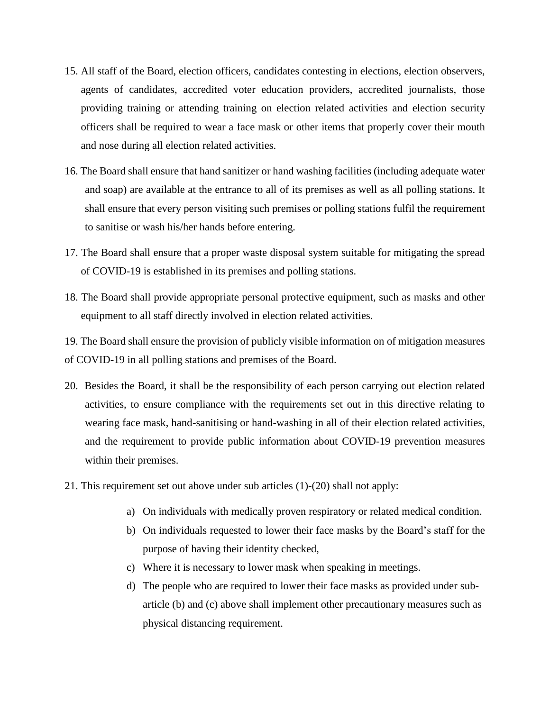- 15. All staff of the Board, election officers, candidates contesting in elections, election observers, agents of candidates, accredited voter education providers, accredited journalists, those providing training or attending training on election related activities and election security officers shall be required to wear a face mask or other items that properly cover their mouth and nose during all election related activities.
- 16. The Board shall ensure that hand sanitizer or hand washing facilities (including adequate water and soap) are available at the entrance to all of its premises as well as all polling stations. It shall ensure that every person visiting such premises or polling stations fulfil the requirement to sanitise or wash his/her hands before entering.
- 17. The Board shall ensure that a proper waste disposal system suitable for mitigating the spread of COVID-19 is established in its premises and polling stations.
- 18. The Board shall provide appropriate personal protective equipment, such as masks and other equipment to all staff directly involved in election related activities.

19. The Board shall ensure the provision of publicly visible information on of mitigation measures of COVID-19 in all polling stations and premises of the Board.

- 20. Besides the Board, it shall be the responsibility of each person carrying out election related activities, to ensure compliance with the requirements set out in this directive relating to wearing face mask, hand-sanitising or hand-washing in all of their election related activities, and the requirement to provide public information about COVID-19 prevention measures within their premises.
- 21. This requirement set out above under sub articles (1)-(20) shall not apply:
	- a) On individuals with medically proven respiratory or related medical condition.
	- b) On individuals requested to lower their face masks by the Board's staff for the purpose of having their identity checked,
	- c) Where it is necessary to lower mask when speaking in meetings.
	- d) The people who are required to lower their face masks as provided under subarticle (b) and (c) above shall implement other precautionary measures such as physical distancing requirement.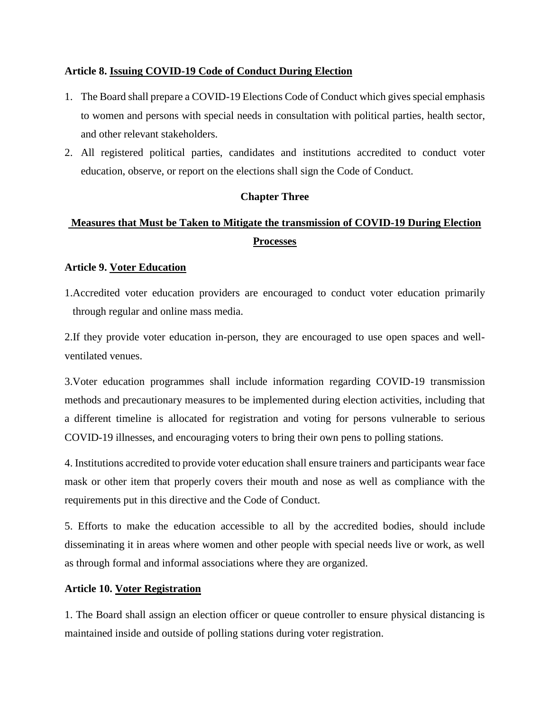# **Article 8. Issuing COVID-19 Code of Conduct During Election**

- 1. The Board shall prepare a COVID-19 Elections Code of Conduct which gives special emphasis to women and persons with special needs in consultation with political parties, health sector, and other relevant stakeholders.
- 2. All registered political parties, candidates and institutions accredited to conduct voter education, observe, or report on the elections shall sign the Code of Conduct.

# **Chapter Three**

# **Measures that Must be Taken to Mitigate the transmission of COVID-19 During Election Processes**

# **Article 9. Voter Education**

1.Accredited voter education providers are encouraged to conduct voter education primarily through regular and online mass media.

2.If they provide voter education in-person, they are encouraged to use open spaces and wellventilated venues.

3.Voter education programmes shall include information regarding COVID-19 transmission methods and precautionary measures to be implemented during election activities, including that a different timeline is allocated for registration and voting for persons vulnerable to serious COVID-19 illnesses, and encouraging voters to bring their own pens to polling stations.

4. Institutions accredited to provide voter education shall ensure trainers and participants wear face mask or other item that properly covers their mouth and nose as well as compliance with the requirements put in this directive and the Code of Conduct.

5. Efforts to make the education accessible to all by the accredited bodies, should include disseminating it in areas where women and other people with special needs live or work, as well as through formal and informal associations where they are organized.

# **Article 10. Voter Registration**

1. The Board shall assign an election officer or queue controller to ensure physical distancing is maintained inside and outside of polling stations during voter registration.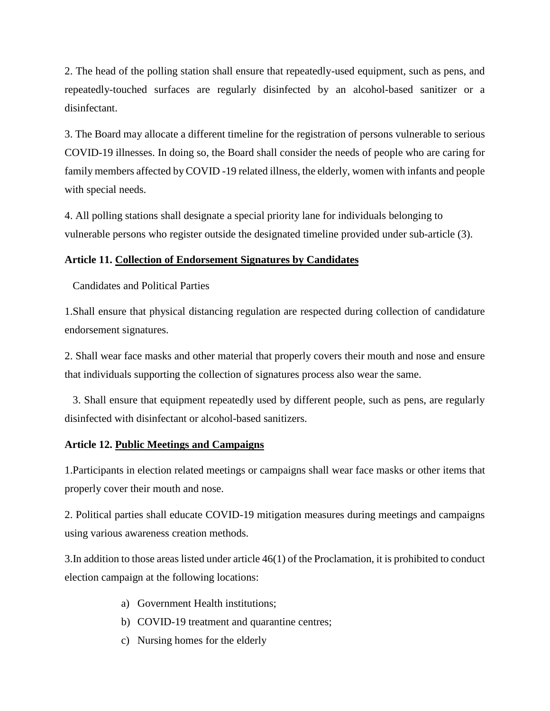2. The head of the polling station shall ensure that repeatedly-used equipment, such as pens, and repeatedly-touched surfaces are regularly disinfected by an alcohol-based sanitizer or a disinfectant.

3. The Board may allocate a different timeline for the registration of persons vulnerable to serious COVID-19 illnesses. In doing so, the Board shall consider the needs of people who are caring for family members affected by COVID -19 related illness, the elderly, women with infants and people with special needs.

4. All polling stations shall designate a special priority lane for individuals belonging to vulnerable persons who register outside the designated timeline provided under sub-article (3).

#### **Article 11. Collection of Endorsement Signatures by Candidates**

Candidates and Political Parties

1.Shall ensure that physical distancing regulation are respected during collection of candidature endorsement signatures.

2. Shall wear face masks and other material that properly covers their mouth and nose and ensure that individuals supporting the collection of signatures process also wear the same.

 3. Shall ensure that equipment repeatedly used by different people, such as pens, are regularly disinfected with disinfectant or alcohol-based sanitizers.

#### **Article 12. Public Meetings and Campaigns**

1.Participants in election related meetings or campaigns shall wear face masks or other items that properly cover their mouth and nose.

2. Political parties shall educate COVID-19 mitigation measures during meetings and campaigns using various awareness creation methods.

3.In addition to those areas listed under article 46(1) of the Proclamation, it is prohibited to conduct election campaign at the following locations:

- a) Government Health institutions;
- b) COVID-19 treatment and quarantine centres;
- c) Nursing homes for the elderly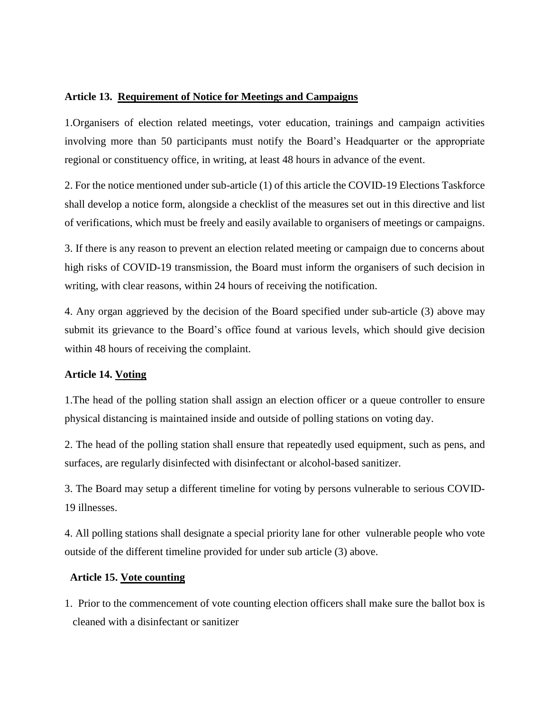#### **Article 13. Requirement of Notice for Meetings and Campaigns**

1.Organisers of election related meetings, voter education, trainings and campaign activities involving more than 50 participants must notify the Board's Headquarter or the appropriate regional or constituency office, in writing, at least 48 hours in advance of the event.

2. For the notice mentioned under sub-article (1) of this article the COVID-19 Elections Taskforce shall develop a notice form, alongside a checklist of the measures set out in this directive and list of verifications, which must be freely and easily available to organisers of meetings or campaigns.

3. If there is any reason to prevent an election related meeting or campaign due to concerns about high risks of COVID-19 transmission, the Board must inform the organisers of such decision in writing, with clear reasons, within 24 hours of receiving the notification.

4. Any organ aggrieved by the decision of the Board specified under sub-article (3) above may submit its grievance to the Board's office found at various levels, which should give decision within 48 hours of receiving the complaint.

# **Article 14. Voting**

1.The head of the polling station shall assign an election officer or a queue controller to ensure physical distancing is maintained inside and outside of polling stations on voting day.

2. The head of the polling station shall ensure that repeatedly used equipment, such as pens, and surfaces, are regularly disinfected with disinfectant or alcohol-based sanitizer.

3. The Board may setup a different timeline for voting by persons vulnerable to serious COVID-19 illnesses.

4. All polling stations shall designate a special priority lane for other vulnerable people who vote outside of the different timeline provided for under sub article (3) above.

#### **Article 15. Vote counting**

1. Prior to the commencement of vote counting election officers shall make sure the ballot box is cleaned with a disinfectant or sanitizer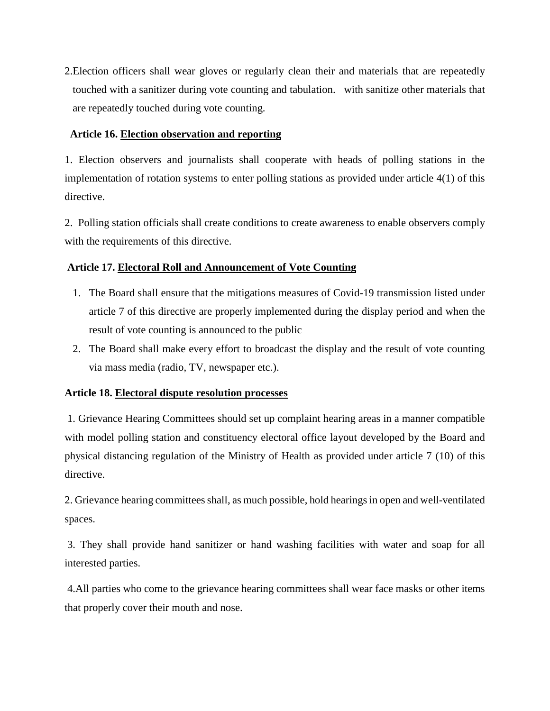2.Election officers shall wear gloves or regularly clean their and materials that are repeatedly touched with a sanitizer during vote counting and tabulation. with sanitize other materials that are repeatedly touched during vote counting.

# **Article 16. Election observation and reporting**

1. Election observers and journalists shall cooperate with heads of polling stations in the implementation of rotation systems to enter polling stations as provided under article 4(1) of this directive.

2. Polling station officials shall create conditions to create awareness to enable observers comply with the requirements of this directive.

# **Article 17. Electoral Roll and Announcement of Vote Counting**

- 1. The Board shall ensure that the mitigations measures of Covid-19 transmission listed under article 7 of this directive are properly implemented during the display period and when the result of vote counting is announced to the public
- 2. The Board shall make every effort to broadcast the display and the result of vote counting via mass media (radio, TV, newspaper etc.).

# **Article 18. Electoral dispute resolution processes**

1. Grievance Hearing Committees should set up complaint hearing areas in a manner compatible with model polling station and constituency electoral office layout developed by the Board and physical distancing regulation of the Ministry of Health as provided under article 7 (10) of this directive.

2. Grievance hearing committees shall, as much possible, hold hearings in open and well-ventilated spaces.

3. They shall provide hand sanitizer or hand washing facilities with water and soap for all interested parties.

4.All parties who come to the grievance hearing committees shall wear face masks or other items that properly cover their mouth and nose.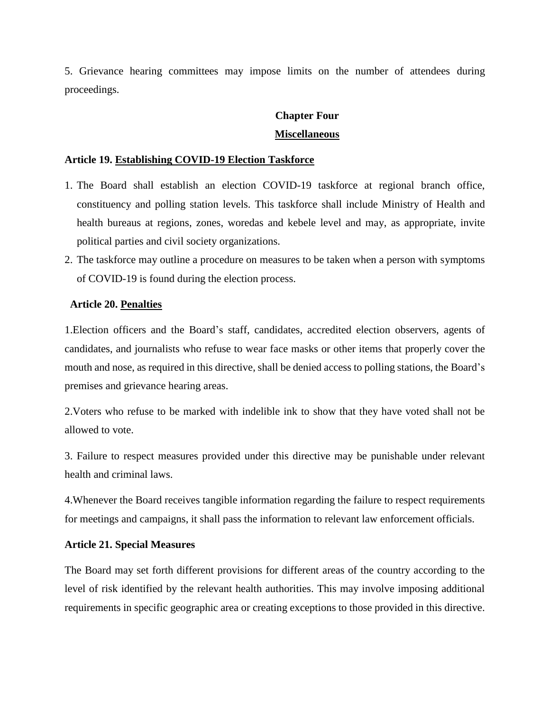5. Grievance hearing committees may impose limits on the number of attendees during proceedings.

# **Chapter Four Miscellaneous**

#### **Article 19. Establishing COVID-19 Election Taskforce**

- 1. The Board shall establish an election COVID-19 taskforce at regional branch office, constituency and polling station levels. This taskforce shall include Ministry of Health and health bureaus at regions, zones, woredas and kebele level and may, as appropriate, invite political parties and civil society organizations.
- 2. The taskforce may outline a procedure on measures to be taken when a person with symptoms of COVID-19 is found during the election process.

#### **Article 20. Penalties**

1.Election officers and the Board's staff, candidates, accredited election observers, agents of candidates, and journalists who refuse to wear face masks or other items that properly cover the mouth and nose, as required in this directive, shall be denied access to polling stations, the Board's premises and grievance hearing areas.

2.Voters who refuse to be marked with indelible ink to show that they have voted shall not be allowed to vote.

3. Failure to respect measures provided under this directive may be punishable under relevant health and criminal laws.

4.Whenever the Board receives tangible information regarding the failure to respect requirements for meetings and campaigns, it shall pass the information to relevant law enforcement officials.

#### **Article 21. Special Measures**

The Board may set forth different provisions for different areas of the country according to the level of risk identified by the relevant health authorities. This may involve imposing additional requirements in specific geographic area or creating exceptions to those provided in this directive.